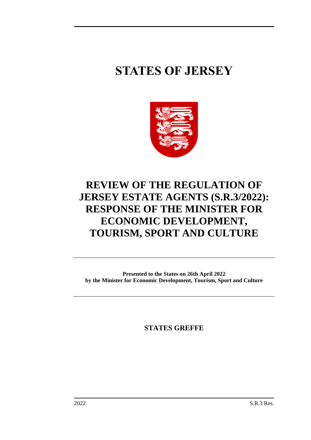# **STATES OF JERSEY**



## **REVIEW OF THE REGULATION OF JERSEY ESTATE AGENTS (S.R.3/2022): RESPONSE OF THE MINISTER FOR ECONOMIC DEVELOPMENT, TOURISM, SPORT AND CULTURE**

**Presented to the States on 26th April 2022 by the Minister for Economic Development, Tourism, Sport and Culture**

**STATES GREFFE**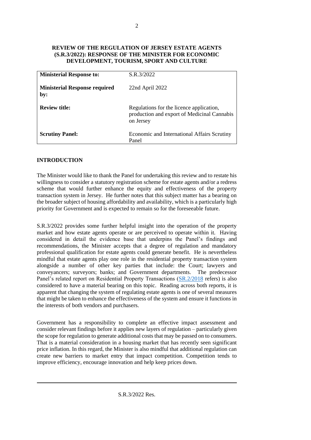#### **REVIEW OF THE REGULATION OF JERSEY ESTATE AGENTS (S.R.3/2022): RESPONSE OF THE MINISTER FOR ECONOMIC DEVELOPMENT, TOURISM, SPORT AND CULTURE**

| <b>Ministerial Response to:</b>             | S.R.3/2022                                                                                           |
|---------------------------------------------|------------------------------------------------------------------------------------------------------|
| <b>Ministerial Response required</b><br>by: | $22nd$ April $2022$                                                                                  |
| <b>Review title:</b>                        | Regulations for the licence application,<br>production and export of Medicinal Cannabis<br>on Jersey |
| <b>Scrutiny Panel:</b>                      | Economic and International Affairs Scrutiny<br>Panel                                                 |

#### **INTRODUCTION**

The Minister would like to thank the Panel for undertaking this review and to restate his willingness to consider a statutory registration scheme for estate agents and/or a redress scheme that would further enhance the equity and effectiveness of the property transaction system in Jersey. He further notes that this subject matter has a bearing on the broader subject of housing affordability and availability, which is a particularly high priority for Government and is expected to remain so for the foreseeable future.

S.R.3/2022 provides some further helpful insight into the operation of the property market and how estate agents operate or are perceived to operate within it. Having considered in detail the evidence base that underpins the Panel's findings and recommendations, the Minister accepts that a degree of regulation and mandatory professional qualification for estate agents could generate benefit. He is nevertheless mindful that estate agents play one role in the residential property transaction system alongside a number of other key parties that include: the Court; lawyers and conveyancers; surveyors; banks; and Government departments. The predecessor Panel's related report on Residential Property Transactions [\(SR.2/2018](https://statesassembly.gov.je/scrutinyreports/2018/report%20-%20residential%20property%20transactions%20-%2019%20march%202018.pdf) refers) is also considered to have a material bearing on this topic. Reading across both reports, it is apparent that changing the system of regulating estate agents is one of several measures that might be taken to enhance the effectiveness of the system and ensure it functions in the interests of both vendors and purchasers.

Government has a responsibility to complete an effective impact assessment and consider relevant findings before it applies new layers of regulation – particularly given the scope for regulation to generate additional costs that may be passed on to consumers. That is a material consideration in a housing market that has recently seen significant price inflation. In this regard, the Minister is also mindful that additional regulation can create new barriers to market entry that impact competition. Competition tends to improve efficiency, encourage innovation and help keep prices down.

S.R.3/2022 Res.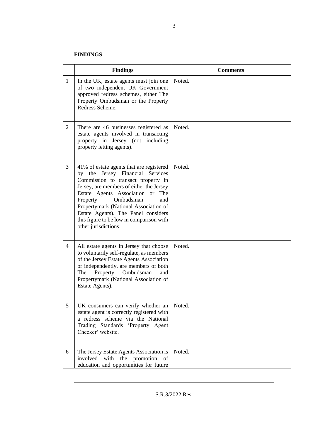#### **FINDINGS**

|                | <b>Findings</b>                                                                                                                                                                                                                                                                                                                                                                        | <b>Comments</b> |  |  |
|----------------|----------------------------------------------------------------------------------------------------------------------------------------------------------------------------------------------------------------------------------------------------------------------------------------------------------------------------------------------------------------------------------------|-----------------|--|--|
| $\mathbf{1}$   | In the UK, estate agents must join one<br>of two independent UK Government<br>approved redress schemes, either The<br>Property Ombudsman or the Property<br>Redress Scheme.                                                                                                                                                                                                            | Noted.          |  |  |
| $\overline{2}$ | There are 46 businesses registered as<br>estate agents involved in transacting<br>property in Jersey (not including<br>property letting agents).                                                                                                                                                                                                                                       | Noted.          |  |  |
| $\overline{3}$ | 41% of estate agents that are registered<br>by the Jersey Financial Services<br>Commission to transact property in<br>Jersey, are members of either the Jersey<br>Estate Agents Association or The<br>Property<br>Ombudsman<br>and<br>Propertymark (National Association of<br>Estate Agents). The Panel considers<br>this figure to be low in comparison with<br>other jurisdictions. | Noted.          |  |  |
| $\overline{4}$ | All estate agents in Jersey that choose<br>to voluntarily self-regulate, as members<br>of the Jersey Estate Agents Association<br>or independently, are members of both<br>The<br>Property Ombudsman<br>and<br>Propertymark (National Association of<br>Estate Agents).                                                                                                                | Noted.          |  |  |
| 5              | UK consumers can verify whether an<br>estate agent is correctly registered with<br>a redress scheme via the National<br>Trading Standards 'Property Agent<br>Checker' website.                                                                                                                                                                                                         | Noted.          |  |  |
| 6              | The Jersey Estate Agents Association is<br>involved with the promotion<br>of<br>education and opportunities for future                                                                                                                                                                                                                                                                 | Noted.          |  |  |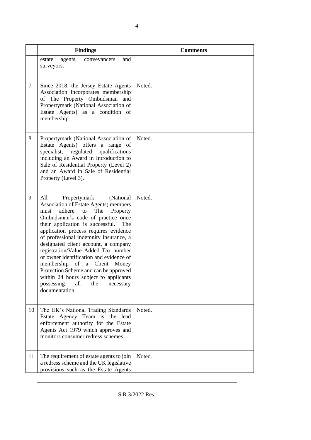|    | <b>Findings</b>                                                                                                                                                                                                                                                                                                                                                                                                                                                                                                                                                                                                | <b>Comments</b> |  |  |
|----|----------------------------------------------------------------------------------------------------------------------------------------------------------------------------------------------------------------------------------------------------------------------------------------------------------------------------------------------------------------------------------------------------------------------------------------------------------------------------------------------------------------------------------------------------------------------------------------------------------------|-----------------|--|--|
|    | estate<br>agents,<br>and<br>conveyancers<br>surveyors.                                                                                                                                                                                                                                                                                                                                                                                                                                                                                                                                                         |                 |  |  |
| 7  | Since 2018, the Jersey Estate Agents<br>Association incorporates membership<br>of The Property Ombudsman and<br>Propertymark (National Association of<br>Estate Agents) as a condition of<br>membership.                                                                                                                                                                                                                                                                                                                                                                                                       | Noted.          |  |  |
| 8  | Propertymark (National Association of<br>Estate Agents) offers a range of<br>specialist,<br>regulated<br>qualifications<br>including an Award in Introduction to<br>Sale of Residential Property (Level 2)<br>and an Award in Sale of Residential<br>Property (Level 3).                                                                                                                                                                                                                                                                                                                                       | Noted.          |  |  |
| 9  | All<br>Propertymark<br>(National<br>Association of Estate Agents) members<br>adhere<br>The<br>Property<br>$\mathbf{t}$<br>must<br>Ombudsman's code of practice once<br>their application is successful.<br>The<br>application process requires evidence<br>of professional indemnity insurance, a<br>designated client account, a company<br>registration/Value Added Tax number<br>or owner identification and evidence of<br>membership of<br>Client Money<br>a<br>Protection Scheme and can be approved<br>within 24 hours subject to applicants<br>possessing<br>all<br>the<br>necessary<br>documentation. | Noted.          |  |  |
| 10 | The UK's National Trading Standards<br>Estate Agency Team is the lead<br>enforcement authority for the Estate<br>Agents Act 1979 which approves and<br>monitors consumer redress schemes.                                                                                                                                                                                                                                                                                                                                                                                                                      | Noted.          |  |  |
| 11 | The requirement of estate agents to join<br>a redress scheme and the UK legislative<br>provisions such as the Estate Agents                                                                                                                                                                                                                                                                                                                                                                                                                                                                                    | Noted.          |  |  |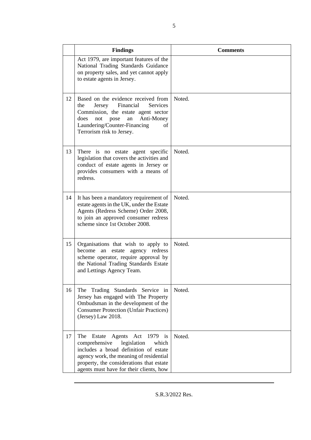|    | <b>Findings</b>                                                                                                                                                                                                                                                      | <b>Comments</b> |  |
|----|----------------------------------------------------------------------------------------------------------------------------------------------------------------------------------------------------------------------------------------------------------------------|-----------------|--|
|    | Act 1979, are important features of the<br>National Trading Standards Guidance<br>on property sales, and yet cannot apply<br>to estate agents in Jersey.                                                                                                             |                 |  |
| 12 | Based on the evidence received from<br>Financial<br>Services<br>Jersey<br>the<br>Commission, the estate agent sector<br>Anti-Money<br>does<br>not<br>pose<br>an<br>Laundering/Counter-Financing<br>of<br>Terrorism risk to Jersey.                                   | Noted.          |  |
| 13 | There is no estate agent specific<br>legislation that covers the activities and<br>conduct of estate agents in Jersey or<br>provides consumers with a means of<br>redress.                                                                                           | Noted.          |  |
| 14 | It has been a mandatory requirement of<br>estate agents in the UK, under the Estate<br>Agents (Redress Scheme) Order 2008,<br>to join an approved consumer redress<br>scheme since 1st October 2008.                                                                 | Noted.          |  |
| 15 | Organisations that wish to apply to<br>become<br>estate<br>agency redress<br>an<br>scheme operator, require approval by<br>the National Trading Standards Estate<br>and Lettings Agency Team.                                                                        | Noted.          |  |
| 16 | The Trading Standards Service in<br>Jersey has engaged with The Property<br>Ombudsman in the development of the<br><b>Consumer Protection (Unfair Practices)</b><br>(Jersey) Law 2018.                                                                               | Noted.          |  |
| 17 | Act 1979<br>The<br>Estate<br>Agents<br><i>is</i><br>legislation<br>comprehensive<br>which<br>includes a broad definition of estate<br>agency work, the meaning of residential<br>property, the considerations that estate<br>agents must have for their clients, how | Noted.          |  |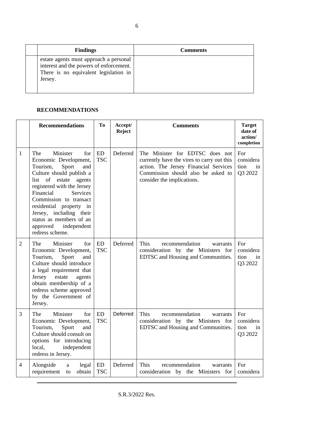| <b>Findings</b>                                                                                                                       | <b>Comments</b> |
|---------------------------------------------------------------------------------------------------------------------------------------|-----------------|
| estate agents must approach a personal<br>interest and the powers of enforcement.<br>There is no equivalent legislation in<br>Jersey. |                 |

#### **RECOMMENDATIONS**

|                | <b>Recommendations</b>                                                                                                                                                                                                                                                                                                                              | To                      | Accept/<br><b>Reject</b> | <b>Comments</b>                                                                                                                                                                            | <b>Target</b><br>date of<br>action/<br>completion |
|----------------|-----------------------------------------------------------------------------------------------------------------------------------------------------------------------------------------------------------------------------------------------------------------------------------------------------------------------------------------------------|-------------------------|--------------------------|--------------------------------------------------------------------------------------------------------------------------------------------------------------------------------------------|---------------------------------------------------|
| 1              | Minister<br>The<br>for<br>Economic Development,<br>Sport<br>Tourism,<br>and<br>Culture should publish a<br>list of estate<br>agents<br>registered with the Jersey<br>Financial<br>Services<br>Commission to transact<br>residential property in<br>Jersey, including their<br>status as members of an<br>approved<br>independent<br>redress scheme. | <b>ED</b><br><b>TSC</b> | Deferred                 | The Minister for EDTSC does not<br>currently have the vires to carry out this<br>action. The Jersey Financial Services<br>Commission should also be asked to<br>consider the implications. | For<br>considera<br>tion<br>in<br>Q3 2022         |
| $\overline{2}$ | The<br>Minister<br>for<br>Economic Development,<br>Sport<br>Tourism,<br>and<br>Culture should introduce<br>a legal requirement that<br>Jersey<br>estate<br>agents<br>obtain membership of a<br>redress scheme approved<br>by the Government of<br>Jersey.                                                                                           | <b>ED</b><br><b>TSC</b> | Deferred                 | <b>This</b><br>recommendation<br>warrants<br>consideration by the Ministers for<br>EDTSC and Housing and Communities.                                                                      | For<br>considera<br>tion<br>in<br>Q3 2022         |
| 3              | Minister<br>The<br>for<br>Economic Development,<br>Tourism,<br>Sport<br>and<br>Culture should consult on<br>options for introducing<br>independent<br>local,<br>redress in Jersey.                                                                                                                                                                  | <b>ED</b><br><b>TSC</b> | Deferred                 | This<br>recommendation<br>warrants<br>consideration by the Ministers for<br>EDTSC and Housing and Communities.                                                                             | For<br>considera<br>tion<br>in<br>Q3 2022         |
| 4              | Alongside<br>legal<br>a<br>requirement<br>obtain<br>to                                                                                                                                                                                                                                                                                              | ED<br><b>TSC</b>        | Deferred                 | <b>This</b><br>recommendation<br>warrants<br>consideration by the Ministers for                                                                                                            | For<br>considera                                  |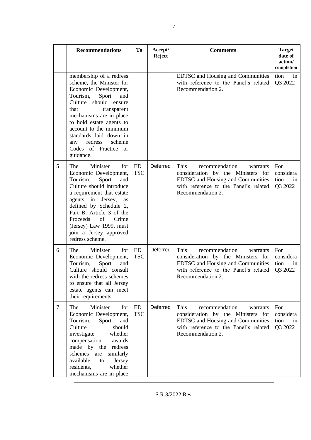|                | <b>Recommendations</b>                                                                                                                                                                                                                                                                                                               | To               | Accept/<br><b>Reject</b> | <b>Comments</b>                                                                                                                                                                    | <b>Target</b><br>date of<br>action/<br>completion |
|----------------|--------------------------------------------------------------------------------------------------------------------------------------------------------------------------------------------------------------------------------------------------------------------------------------------------------------------------------------|------------------|--------------------------|------------------------------------------------------------------------------------------------------------------------------------------------------------------------------------|---------------------------------------------------|
|                | membership of a redress<br>scheme, the Minister for<br>Economic Development,<br>Tourism,<br>Sport<br>and<br>Culture should ensure<br>that<br>transparent<br>mechanisms are in place<br>to hold estate agents to<br>account to the minimum<br>standards laid down in<br>redress<br>scheme<br>any<br>Codes of Practice or<br>guidance. |                  |                          | EDTSC and Housing and Communities<br>with reference to the Panel's related<br>Recommendation 2.                                                                                    | tion<br>in<br>Q3 2022                             |
| 5              | Minister<br>The<br>for<br>Economic Development,<br>Tourism,<br>Sport<br>and<br>Culture should introduce<br>a requirement that estate<br>agents in Jersey,<br>as<br>defined by Schedule 2,<br>Part B, Article 3 of the<br>Proceeds<br>of<br>Crime<br>(Jersey) Law 1999, must<br>join a Jersey approved<br>redress scheme.             | ED<br><b>TSC</b> | Deferred                 | <b>This</b><br>recommendation<br>warrants<br>consideration by the Ministers for<br>EDTSC and Housing and Communities<br>with reference to the Panel's related<br>Recommendation 2. | For<br>considera<br>tion<br>in<br>Q3 2022         |
| 6              | Minister<br>The<br>for<br>Economic Development,<br>Tourism,<br>Sport<br>and<br>Culture should consult<br>with the redress schemes<br>to ensure that all Jersey<br>estate agents can meet<br>their requirements.                                                                                                                      | ED<br><b>TSC</b> | Deferred                 | This<br>recommendation<br>warrants<br>consideration by the Ministers for<br>EDTSC and Housing and Communities<br>with reference to the Panel's related<br>Recommendation 2.        | For<br>considera<br>tion<br>in<br>Q3 2022         |
| $\overline{7}$ | Minister<br>The<br>for<br>Economic Development,<br>Tourism,<br>Sport<br>and<br>Culture<br>should<br>whether<br>investigate<br>compensation<br>awards<br>made by the redress<br>schemes<br>similarly<br>are<br>available<br>Jersey<br>to<br>whether<br>residents,<br>mechanisms are in place                                          | ED<br><b>TSC</b> | Deferred                 | <b>This</b><br>recommendation<br>warrants<br>consideration by the Ministers for<br>EDTSC and Housing and Communities<br>with reference to the Panel's related<br>Recommendation 2. | For<br>considera<br>tion<br>in<br>Q3 2022         |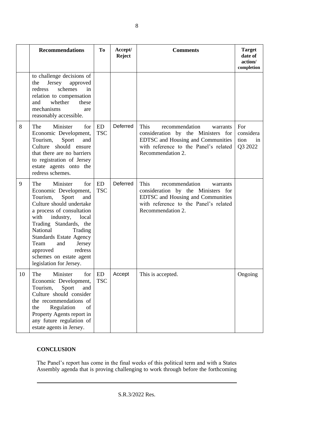|    | <b>Recommendations</b>                                                                                                                                                                                                                                                                                                                                      | To                      | Accept/<br><b>Reject</b> | <b>Comments</b>                                                                                                                                                                    | <b>Target</b><br>date of<br>action/<br>completion |
|----|-------------------------------------------------------------------------------------------------------------------------------------------------------------------------------------------------------------------------------------------------------------------------------------------------------------------------------------------------------------|-------------------------|--------------------------|------------------------------------------------------------------------------------------------------------------------------------------------------------------------------------|---------------------------------------------------|
|    | to challenge decisions of<br>the<br>Jersey<br>approved<br>schemes<br>redress<br>in<br>relation to compensation<br>and<br>whether<br>these<br>mechanisms<br>are<br>reasonably accessible.                                                                                                                                                                    |                         |                          |                                                                                                                                                                                    |                                                   |
| 8  | Minister<br>The<br>for<br>Economic Development,<br>Tourism,<br>Sport<br>and<br>Culture should ensure<br>that there are no barriers<br>to registration of Jersey<br>estate agents onto the<br>redress schemes.                                                                                                                                               | ED<br><b>TSC</b>        | Deferred                 | <b>This</b><br>recommendation<br>warrants<br>consideration by the Ministers for<br>EDTSC and Housing and Communities<br>with reference to the Panel's related<br>Recommendation 2. | For<br>considera<br>tion<br>in<br>Q3 2022         |
| 9  | The<br>Minister<br>for<br>Economic Development,<br>Tourism,<br>Sport<br>and<br>Culture should undertake<br>a process of consultation<br>industry,<br>with<br>local<br>Trading Standards, the<br>National<br>Trading<br><b>Standards Estate Agency</b><br>Team<br>and<br>Jersey<br>redress<br>approved<br>schemes on estate agent<br>legislation for Jersey. | ED<br><b>TSC</b>        | Deferred                 | <b>This</b><br>recommendation<br>warrants<br>consideration by the Ministers for<br>EDTSC and Housing and Communities<br>with reference to the Panel's related<br>Recommendation 2. |                                                   |
| 10 | The<br>Minister<br>for<br>Economic Development,<br>Tourism,<br>Sport<br>and<br>Culture should consider<br>the recommendations of<br>Regulation<br>of<br>the<br>Property Agents report in<br>any future regulation of<br>estate agents in Jersey.                                                                                                            | <b>ED</b><br><b>TSC</b> | Accept                   | This is accepted.                                                                                                                                                                  | Ongoing                                           |

### **CONCLUSION**

The Panel's report has come in the final weeks of this political term and with a States Assembly agenda that is proving challenging to work through before the forthcoming

8